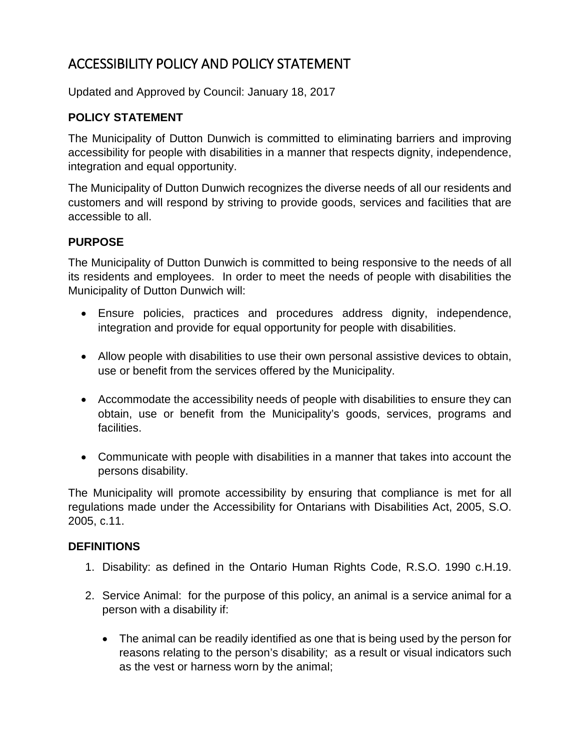# ACCESSIBILITY POLICY AND POLICY STATEMENT

Updated and Approved by Council: January 18, 2017

## **POLICY STATEMENT**

The Municipality of Dutton Dunwich is committed to eliminating barriers and improving accessibility for people with disabilities in a manner that respects dignity, independence, integration and equal opportunity.

The Municipality of Dutton Dunwich recognizes the diverse needs of all our residents and customers and will respond by striving to provide goods, services and facilities that are accessible to all.

## **PURPOSE**

The Municipality of Dutton Dunwich is committed to being responsive to the needs of all its residents and employees. In order to meet the needs of people with disabilities the Municipality of Dutton Dunwich will:

- Ensure policies, practices and procedures address dignity, independence, integration and provide for equal opportunity for people with disabilities.
- Allow people with disabilities to use their own personal assistive devices to obtain, use or benefit from the services offered by the Municipality.
- Accommodate the accessibility needs of people with disabilities to ensure they can obtain, use or benefit from the Municipality's goods, services, programs and facilities.
- Communicate with people with disabilities in a manner that takes into account the persons disability.

The Municipality will promote accessibility by ensuring that compliance is met for all regulations made under the Accessibility for Ontarians with Disabilities Act, 2005, S.O. 2005, c.11.

#### **DEFINITIONS**

- 1. Disability: as defined in the Ontario Human Rights Code, R.S.O. 1990 c.H.19.
- 2. Service Animal: for the purpose of this policy, an animal is a service animal for a person with a disability if:
	- The animal can be readily identified as one that is being used by the person for reasons relating to the person's disability; as a result or visual indicators such as the vest or harness worn by the animal;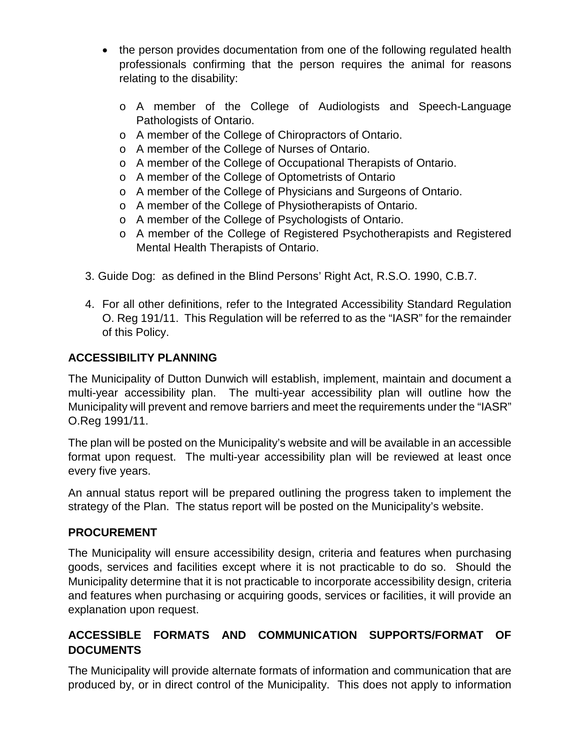- the person provides documentation from one of the following regulated health professionals confirming that the person requires the animal for reasons relating to the disability:
	- o A member of the College of Audiologists and Speech-Language Pathologists of Ontario.
	- o A member of the College of Chiropractors of Ontario.
	- o A member of the College of Nurses of Ontario.
	- o A member of the College of Occupational Therapists of Ontario.
	- o A member of the College of Optometrists of Ontario
	- o A member of the College of Physicians and Surgeons of Ontario.
	- o A member of the College of Physiotherapists of Ontario.
	- o A member of the College of Psychologists of Ontario.
	- o A member of the College of Registered Psychotherapists and Registered Mental Health Therapists of Ontario.
- 3. Guide Dog: as defined in the Blind Persons' Right Act, R.S.O. 1990, C.B.7.
- 4. For all other definitions, refer to the Integrated Accessibility Standard Regulation O. Reg 191/11. This Regulation will be referred to as the "IASR" for the remainder of this Policy.

## **ACCESSIBILITY PLANNING**

The Municipality of Dutton Dunwich will establish, implement, maintain and document a multi-year accessibility plan. The multi-year accessibility plan will outline how the Municipality will prevent and remove barriers and meet the requirements under the "IASR" O.Reg 1991/11.

The plan will be posted on the Municipality's website and will be available in an accessible format upon request. The multi-year accessibility plan will be reviewed at least once every five years.

An annual status report will be prepared outlining the progress taken to implement the strategy of the Plan. The status report will be posted on the Municipality's website.

## **PROCUREMENT**

The Municipality will ensure accessibility design, criteria and features when purchasing goods, services and facilities except where it is not practicable to do so. Should the Municipality determine that it is not practicable to incorporate accessibility design, criteria and features when purchasing or acquiring goods, services or facilities, it will provide an explanation upon request.

# **ACCESSIBLE FORMATS AND COMMUNICATION SUPPORTS/FORMAT OF DOCUMENTS**

The Municipality will provide alternate formats of information and communication that are produced by, or in direct control of the Municipality. This does not apply to information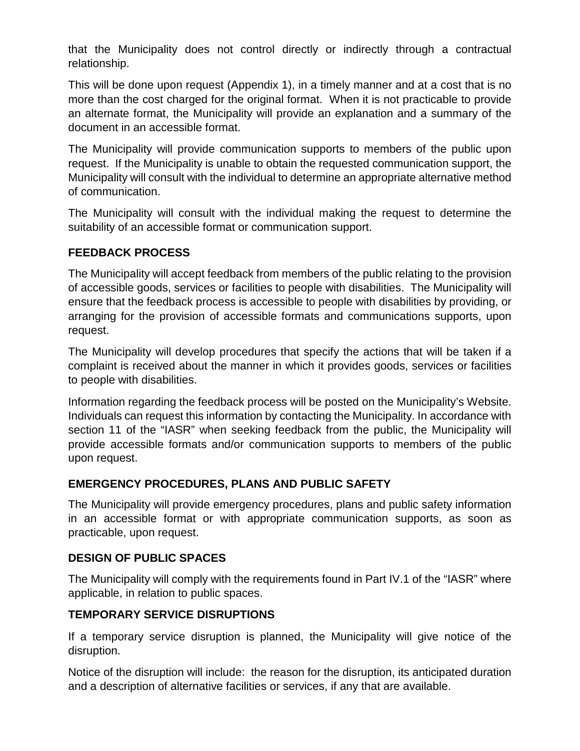that the Municipality does not control directly or indirectly through a contractual relationship.

This will be done upon request (Appendix 1), in a timely manner and at a cost that is no more than the cost charged for the original format. When it is not practicable to provide an alternate format, the Municipality will provide an explanation and a summary of the document in an accessible format.

The Municipality will provide communication supports to members of the public upon request. If the Municipality is unable to obtain the requested communication support, the Municipality will consult with the individual to determine an appropriate alternative method of communication.

The Municipality will consult with the individual making the request to determine the suitability of an accessible format or communication support.

#### **FEEDBACK PROCESS**

The Municipality will accept feedback from members of the public relating to the provision of accessible goods, services or facilities to people with disabilities. The Municipality will ensure that the feedback process is accessible to people with disabilities by providing, or arranging for the provision of accessible formats and communications supports, upon request.

The Municipality will develop procedures that specify the actions that will be taken if a complaint is received about the manner in which it provides goods, services or facilities to people with disabilities.

Information regarding the feedback process will be posted on the Municipality's Website. Individuals can request this information by contacting the Municipality. In accordance with section 11 of the "IASR" when seeking feedback from the public, the Municipality will provide accessible formats and/or communication supports to members of the public upon request.

## **EMERGENCY PROCEDURES, PLANS AND PUBLIC SAFETY**

The Municipality will provide emergency procedures, plans and public safety information in an accessible format or with appropriate communication supports, as soon as practicable, upon request.

#### **DESIGN OF PUBLIC SPACES**

The Municipality will comply with the requirements found in Part IV.1 of the "IASR" where applicable, in relation to public spaces.

#### **TEMPORARY SERVICE DISRUPTIONS**

If a temporary service disruption is planned, the Municipality will give notice of the disruption.

Notice of the disruption will include: the reason for the disruption, its anticipated duration and a description of alternative facilities or services, if any that are available.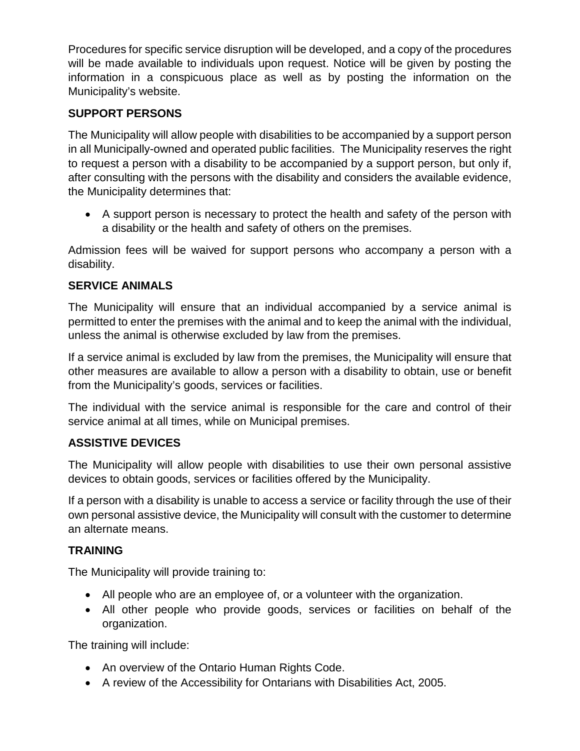Procedures for specific service disruption will be developed, and a copy of the procedures will be made available to individuals upon request. Notice will be given by posting the information in a conspicuous place as well as by posting the information on the Municipality's website.

#### **SUPPORT PERSONS**

The Municipality will allow people with disabilities to be accompanied by a support person in all Municipally-owned and operated public facilities. The Municipality reserves the right to request a person with a disability to be accompanied by a support person, but only if, after consulting with the persons with the disability and considers the available evidence, the Municipality determines that:

• A support person is necessary to protect the health and safety of the person with a disability or the health and safety of others on the premises.

Admission fees will be waived for support persons who accompany a person with a disability.

#### **SERVICE ANIMALS**

The Municipality will ensure that an individual accompanied by a service animal is permitted to enter the premises with the animal and to keep the animal with the individual, unless the animal is otherwise excluded by law from the premises.

If a service animal is excluded by law from the premises, the Municipality will ensure that other measures are available to allow a person with a disability to obtain, use or benefit from the Municipality's goods, services or facilities.

The individual with the service animal is responsible for the care and control of their service animal at all times, while on Municipal premises.

#### **ASSISTIVE DEVICES**

The Municipality will allow people with disabilities to use their own personal assistive devices to obtain goods, services or facilities offered by the Municipality.

If a person with a disability is unable to access a service or facility through the use of their own personal assistive device, the Municipality will consult with the customer to determine an alternate means.

#### **TRAINING**

The Municipality will provide training to:

- All people who are an employee of, or a volunteer with the organization.
- All other people who provide goods, services or facilities on behalf of the organization.

The training will include:

- An overview of the Ontario Human Rights Code.
- A review of the Accessibility for Ontarians with Disabilities Act, 2005.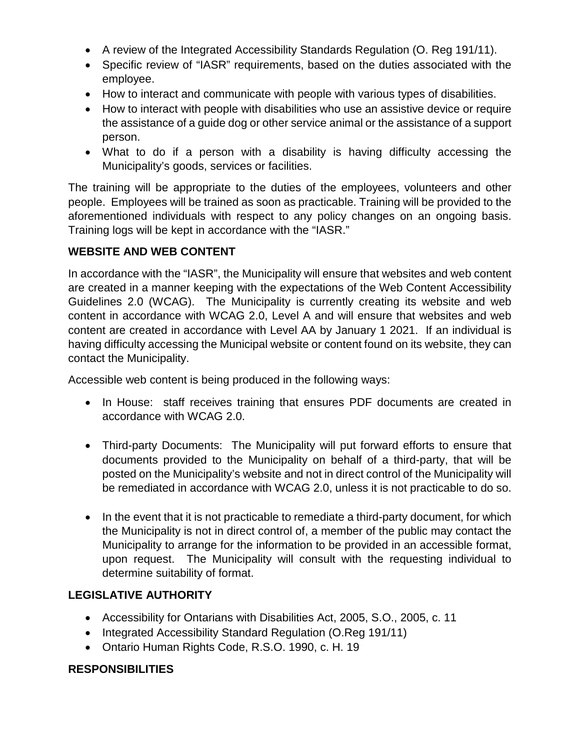- A review of the Integrated Accessibility Standards Regulation (O. Reg 191/11).
- Specific review of "IASR" requirements, based on the duties associated with the employee.
- How to interact and communicate with people with various types of disabilities.
- How to interact with people with disabilities who use an assistive device or require the assistance of a guide dog or other service animal or the assistance of a support person.
- What to do if a person with a disability is having difficulty accessing the Municipality's goods, services or facilities.

The training will be appropriate to the duties of the employees, volunteers and other people. Employees will be trained as soon as practicable. Training will be provided to the aforementioned individuals with respect to any policy changes on an ongoing basis. Training logs will be kept in accordance with the "IASR."

## **WEBSITE AND WEB CONTENT**

In accordance with the "IASR", the Municipality will ensure that websites and web content are created in a manner keeping with the expectations of the Web Content Accessibility Guidelines 2.0 (WCAG). The Municipality is currently creating its website and web content in accordance with WCAG 2.0, Level A and will ensure that websites and web content are created in accordance with Level AA by January 1 2021. If an individual is having difficulty accessing the Municipal website or content found on its website, they can contact the Municipality.

Accessible web content is being produced in the following ways:

- In House: staff receives training that ensures PDF documents are created in accordance with WCAG 2.0.
- Third-party Documents: The Municipality will put forward efforts to ensure that documents provided to the Municipality on behalf of a third-party, that will be posted on the Municipality's website and not in direct control of the Municipality will be remediated in accordance with WCAG 2.0, unless it is not practicable to do so.
- In the event that it is not practicable to remediate a third-party document, for which the Municipality is not in direct control of, a member of the public may contact the Municipality to arrange for the information to be provided in an accessible format, upon request. The Municipality will consult with the requesting individual to determine suitability of format.

#### **LEGISLATIVE AUTHORITY**

- Accessibility for Ontarians with Disabilities Act, 2005, S.O., 2005, c. 11
- Integrated Accessibility Standard Regulation (O.Reg 191/11)
- Ontario Human Rights Code, R.S.O. 1990, c. H. 19

#### **RESPONSIBILITIES**